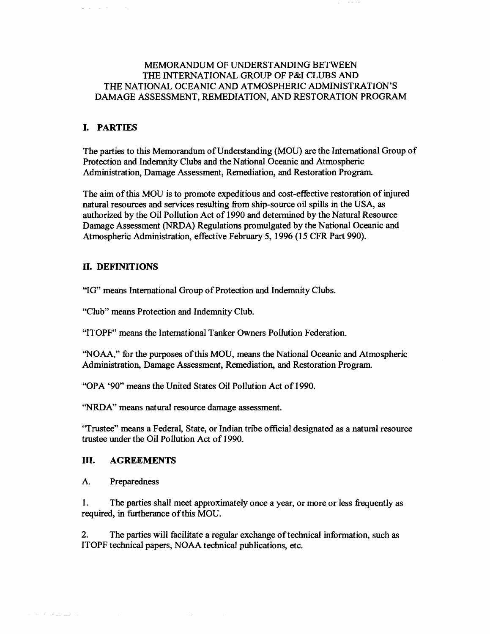## MEMORANDUM OF UNDERSTANDING BETWEEN THE INTERNATIONAL GROUP OF P&I CLUBS AND THE NATIONAL OCEANIC AND ATMOSPHERIC ADMINISTRATION'S DAMAGE ASSESSMENT, REMEDIATION, AND RESTORATION PROGRAM

# **I. PARTIES**

The parties to this Memorandum of Understanding (MOU) are the International Group of Protection and Indemnity Clubs and the National Oceanic and Atmospheric Administration, Damage Assessment, Remediation, and Restoration Program.

The aim of this MOU is to promote expeditious and cost-effective restoration of injured natural resources and services resulting from ship-source oil spills in the USA, as authorized by the Oil Pollution Act of 1990 and determined by the Natural Resource Damage Assessment (NRDA) Regulations promulgated by the National Oceanic and Atmospheric Administration, effective February 5, 1996 (15 CFR Part 990).

#### **II. DEFINITIONS**

"IG" means International Group of Protection and Indemnity Clubs.

"Club" means Protection and Indemnity Club.

"ITOPF" means the International Tanker Owners Pollution Federation.

''NOAA,'' for the purposes ofthis MOU, means the National Oceanic and Atmospheric Administration, Damage Assessment, Remediation, and Restoration Program.

"OPA '90" means the United States Oil Pollution Act of 1990.

''NRDA'' means natural resource damage assessment.

"Trustee" means a Federal, State, or Indian tribe official designated as a natural resource trustee under the Oil Pollution Act of 1990.

#### **III. AGREEMENTS**

A. Preparedness

 $\alpha$  and  $\alpha$  are  $\alpha$  and  $\alpha$  are also assumed

1. The parties shall meet approximately once a year, or more or less frequently as required, in furtherance of this MOU.

2. The parties will facilitate a regular exchange of technical information, such as ITOPF technical papers, NOAA technical publications, etc.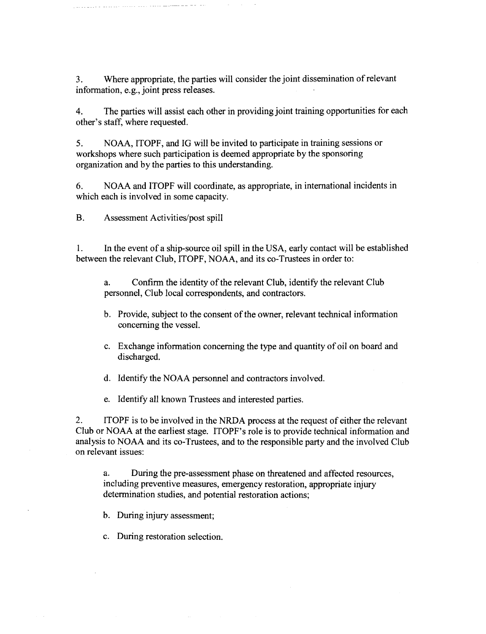3. Where appropriate, the parties will consider the joint dissemination ofrelevant information, e.g., joint press releases.

4. The parties will assist each other in providing joint training opportunities for each other's staff, where requested.

5. NOAA, ITOPF, and IG will be invited to participate in training sessions or workshops where such participation is deemed appropriate by the sponsoring organization and by the parties to this understanding.

6. NOAA and ITOPF will coordinate, as appropriate, in international incidents in which each is involved in some capacity.

B. Assessment Activities/post spill

1. In the event of a ship-source oil spill in the USA, early contact will be established between the relevant Club, ITOPF, NOAA, and its co-Trustees in order to:

a. Confirm the identity of the relevant Club, identify the relevant Club personnel, Club local correspondents, and contractors.

- b. Provide, subject to the consent of the owner, relevant technical information concerning the vessel.
- c. Exchange information concerning the type and quantity of oil on board and discharged.

d. Identify the NOAA personnel and contractors involved.

e. Identify all known Trustees and interested parties.

2. ITOPF is to be involved in the NRDA process at the request of either the relevant Club or NOAA at the earliest stage. ITOPF's role is to provide technical information and analysis to NOAA and its co-Trustees, and to the responsible party and the involved Club on relevant issues:

a. During the pre-assessment phase on threatened and affected resources, including preventive measures, emergency restoration, appropriate injury determination studies, and potential restoration actions;

b. During injury assessment;

c. During restoration selection.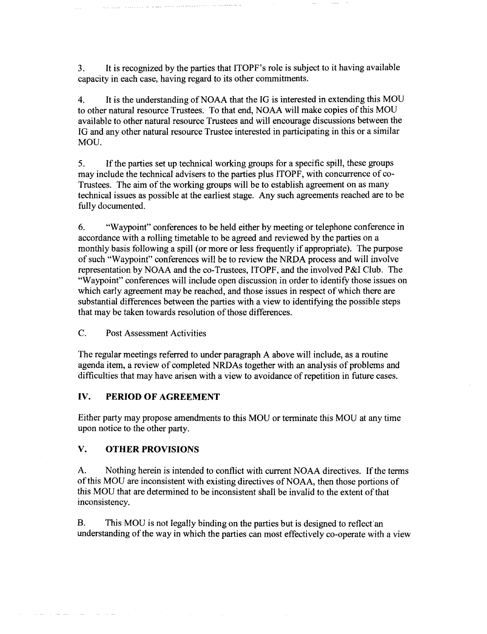3. It is recognized by the parties that ITOPF's role is subject to it having available capacity in each case, having regard to its other commitments.

4. It is the understanding of NOAA that the IG is interested in extending this MOU to other natural resource Trustees. To that end, NOAA will make copies of this MOU available to other natural resource Trustees and will encourage discussions between the IG and any other natural resource Trustee interested in participating in this or a similar MOU.

5. If the parties set up technical working groups for a specific spill, these groups may include the technical advisers to the parties plus ITOPF, with concurrence of co-Trustees. The aim of the working groups will be to establish agreement on as many technical issues as possible at the earliest stage. Any such agreements reached are to be fully documented.

6. "Waypoint" conferences to be held either by meeting or telephone conference in accordance with a rolling timetable to be agreed and reviewed by the parties on a monthly basis following a spill (or more or less frequently if appropriate). The purpose of such "Waypoint" conferences will be to review the NRDA process and will involve representation by NOAA and the co-Trustees, ITOPF, and the involved P&I Club. The "Waypoint" conferences will include open discussion in order to identify those issues on which early agreement may be reached, and those issues in respect of which there are substantial differences between the parties with a view to identifying the possible steps that may be taken towards resolution of those differences.

#### C. Post Assessment Activities

The regular meetings referred to under paragraph A above will include, as a routine agenda item, a review of completed NRDAs together with an analysis of problems and difficulties that may have arisen with a view to avoidance of repetition in future cases.

## **IV. PERIOD OF AGREEMENT**

Either party may propose amendments to this MOD or terminate this MOD at any time upon notice to the other party.

#### **V. OTHER PROVISIONS**

A. Nothing herein is intended to conflict with current NOAA directives. If the terms of this MOU are inconsistent with existing directives of NOAA, then those portions of this MOU that are determined to be inconsistent shall be invalid to the extent of that inconsistency.

B. This MOU is not legally binding on the parties but is designed to reflect an understanding of the way in which the parties can most effectively co-operate with a view